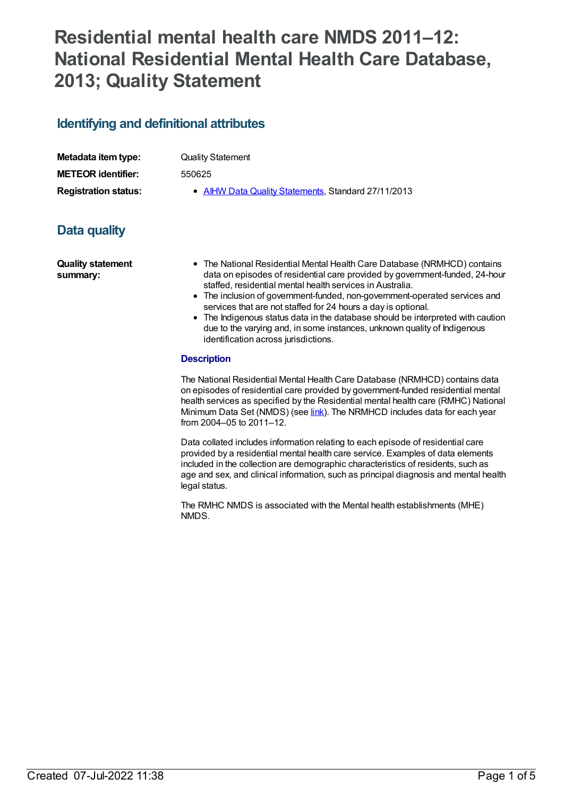# **Residential mental health care NMDS 2011–12: National Residential Mental Health Care Database, 2013; Quality Statement**

# **Identifying and definitional attributes**

| Metadata item type:         | <b>Quality Statement</b>                            |
|-----------------------------|-----------------------------------------------------|
| <b>METEOR identifier:</b>   | 550625                                              |
| <b>Registration status:</b> | • AIHW Data Quality Statements, Standard 27/11/2013 |

# **Data quality**

**Quality statement summary:**

- The National Residential Mental Health Care Database (NRMHCD) contains data on episodes of residential care provided by government-funded, 24-hour staffed, residential mental health services in Australia.
- The inclusion of government-funded, non-government-operated services and services that are not staffed for 24 hours a day is optional.
- The Indigenous status data in the database should be interpreted with caution due to the varying and, in some instances, unknown quality of Indigenous identification across jurisdictions.

#### **Description**

The National Residential Mental Health Care Database (NRMHCD) contains data on episodes of residential care provided by government-funded residential mental health services as specified by the Residential mental health care (RMHC) National Minimum Data Set (NMDS) (see [link](file:///content/426754)). The NRMHCD includes data for each year from 2004–05 to 2011–12.

Data collated includes information relating to each episode of residential care provided by a residential mental health care service. Examples of data elements included in the collection are demographic characteristics of residents, such as age and sex, and clinical information, such as principal diagnosis and mental health legal status.

The RMHC NMDS is associated with the Mental health establishments (MHE) NMDS.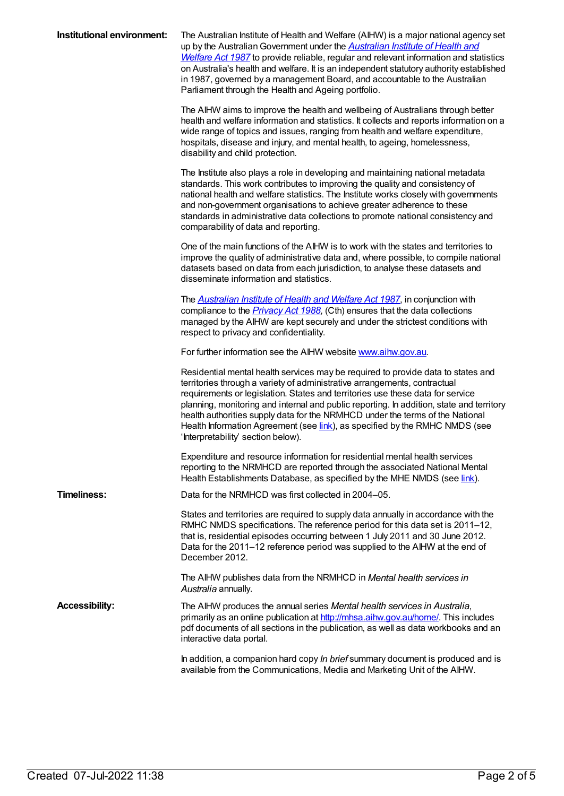| Institutional environment: | The Australian Institute of Health and Welfare (AIHW) is a major national agency set<br>up by the Australian Government under the <b>Australian Institute of Health and</b><br>Welfare Act 1987 to provide reliable, regular and relevant information and statistics<br>on Australia's health and welfare. It is an independent statutory authority established<br>in 1987, governed by a management Board, and accountable to the Australian<br>Parliament through the Health and Ageing portfolio.                                              |
|----------------------------|---------------------------------------------------------------------------------------------------------------------------------------------------------------------------------------------------------------------------------------------------------------------------------------------------------------------------------------------------------------------------------------------------------------------------------------------------------------------------------------------------------------------------------------------------|
|                            | The AIHW aims to improve the health and wellbeing of Australians through better<br>health and welfare information and statistics. It collects and reports information on a<br>wide range of topics and issues, ranging from health and welfare expenditure,<br>hospitals, disease and injury, and mental health, to ageing, homelessness,<br>disability and child protection.                                                                                                                                                                     |
|                            | The Institute also plays a role in developing and maintaining national metadata<br>standards. This work contributes to improving the quality and consistency of<br>national health and welfare statistics. The Institute works closely with governments<br>and non-government organisations to achieve greater adherence to these<br>standards in administrative data collections to promote national consistency and<br>comparability of data and reporting.                                                                                     |
|                            | One of the main functions of the AIHW is to work with the states and territories to<br>improve the quality of administrative data and, where possible, to compile national<br>datasets based on data from each jurisdiction, to analyse these datasets and<br>disseminate information and statistics.                                                                                                                                                                                                                                             |
|                            | The <b>Australian Institute of Health and Welfare Act 1987</b> , in conjunction with<br>compliance to the <i>Privacy Act 1988</i> , (Cth) ensures that the data collections<br>managed by the AIHW are kept securely and under the strictest conditions with<br>respect to privacy and confidentiality.                                                                                                                                                                                                                                           |
|                            | For further information see the AIHW website www.aihw.gov.au.                                                                                                                                                                                                                                                                                                                                                                                                                                                                                     |
|                            | Residential mental health services may be required to provide data to states and<br>territories through a variety of administrative arrangements, contractual<br>requirements or legislation. States and territories use these data for service<br>planning, monitoring and internal and public reporting. In addition, state and territory<br>health authorities supply data for the NRMHCD under the terms of the National<br>Health Information Agreement (see link), as specified by the RMHC NMDS (see<br>'Interpretability' section below). |
|                            | Expenditure and resource information for residential mental health services<br>reporting to the NRMHCD are reported through the associated National Mental<br>Health Establishments Database, as specified by the MHE NMDS (see link).                                                                                                                                                                                                                                                                                                            |
| <b>Timeliness:</b>         | Data for the NRMHCD was first collected in 2004–05.                                                                                                                                                                                                                                                                                                                                                                                                                                                                                               |
|                            | States and territories are required to supply data annually in accordance with the<br>RMHC NMDS specifications. The reference period for this data set is 2011-12,<br>that is, residential episodes occurring between 1 July 2011 and 30 June 2012.<br>Data for the 2011-12 reference period was supplied to the AIHW at the end of<br>December 2012.                                                                                                                                                                                             |
|                            | The AIHW publishes data from the NRMHCD in Mental health services in<br>Australia annually.                                                                                                                                                                                                                                                                                                                                                                                                                                                       |
| <b>Accessibility:</b>      | The AIHW produces the annual series Mental health services in Australia,<br>primarily as an online publication at http://mhsa.aihw.gov.au/home/. This includes<br>pdf documents of all sections in the publication, as well as data workbooks and an<br>interactive data portal.                                                                                                                                                                                                                                                                  |
|                            | In addition, a companion hard copy In brief summary document is produced and is<br>available from the Communications, Media and Marketing Unit of the AIHW.                                                                                                                                                                                                                                                                                                                                                                                       |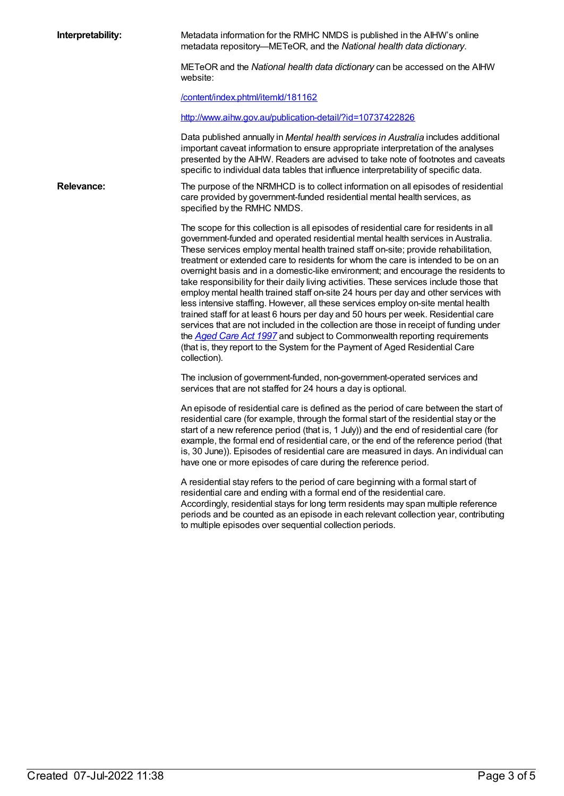**Interpretability:** Metadata information for the RMHC NMDS is published in the AIHW's online metadata repository—METeOR, and the *National health data dictionary*.

> METeOR and the *National health data dictionary* can be accessed on the AIHW website:

[/content/index.phtml/itemId/181162](file:///content/181162)

<http://www.aihw.gov.au/publication-detail/?id=10737422826>

Data published annually in *Mental health services in Australia* includes additional important caveat information to ensure appropriate interpretation of the analyses presented by the AIHW. Readers are advised to take note of footnotes and caveats specific to individual data tables that influence interpretability of specific data.

**Relevance:** The purpose of the NRMHCD is to collect information on all episodes of residential care provided by government-funded residential mental health services, as specified by the RMHC NMDS.

> The scope for this collection is all episodes of residential care for residents in all government-funded and operated residential mental health services in Australia. These services employ mental health trained staff on-site; provide rehabilitation, treatment or extended care to residents for whom the care is intended to be on an overnight basis and in a domestic-like environment; and encourage the residents to take responsibility for their daily living activities. These services include those that employ mental health trained staff on-site 24 hours per day and other services with less intensive staffing. However, all these services employ on-site mental health trained staff for at least 6 hours per day and 50 hours per week. Residential care services that are not included in the collection are those in receipt of funding under the *[Aged](http://www.comlaw.gov.au/Details/C2012C00573) Care Act 1997* and subject to Commonwealth reporting requirements (that is, they report to the System for the Payment of Aged Residential Care collection).

The inclusion of government-funded, non-government-operated services and services that are not staffed for 24 hours a day is optional.

An episode of residential care is defined as the period of care between the start of residential care (for example, through the formal start of the residential stay or the start of a new reference period (that is, 1 July)) and the end of residential care (for example, the formal end of residential care, or the end of the reference period (that is, 30 June)). Episodes of residential care are measured in days. An individual can have one or more episodes of care during the reference period.

A residential stay refers to the period of care beginning with a formal start of residential care and ending with a formal end of the residential care. Accordingly, residential stays for long term residents may span multiple reference periods and be counted as an episode in each relevant collection year, contributing to multiple episodes over sequential collection periods.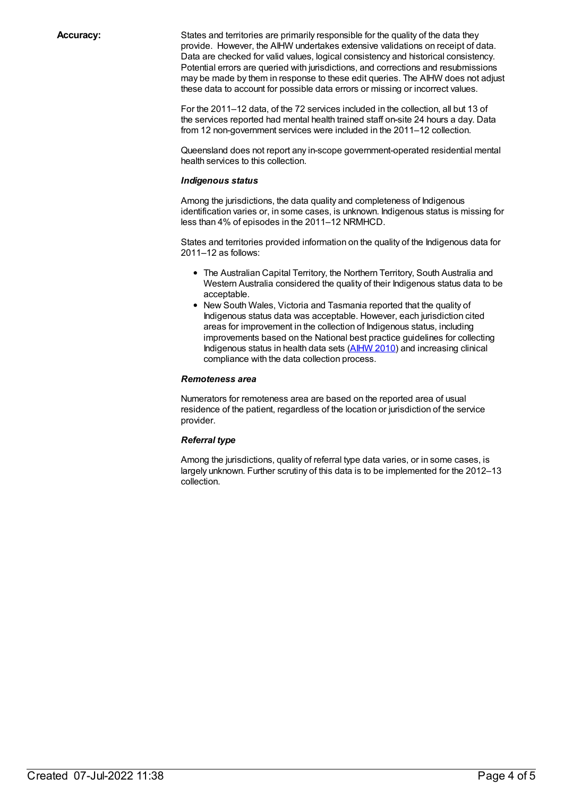**Accuracy:** States and territories are primarily responsible for the quality of the data they provide. However, the AIHW undertakes extensive validations on receipt of data. Data are checked for valid values, logical consistency and historical consistency. Potential errors are queried with jurisdictions, and corrections and resubmissions may be made by them in response to these edit queries. The AIHW does not adjust these data to account for possible data errors or missing or incorrect values.

> For the 2011–12 data, of the 72 services included in the collection, all but 13 of the services reported had mental health trained staff on-site 24 hours a day. Data from 12 non-government services were included in the 2011–12 collection.

Queensland does not report any in-scope government-operated residential mental health services to this collection.

#### *Indigenous status*

Among the jurisdictions, the data quality and completeness of Indigenous identification varies or, in some cases, is unknown. Indigenous status is missing for less than 4% of episodes in the 2011–12 NRMHCD.

States and territories provided information on the quality of the Indigenous data for 2011–12 as follows:

- The Australian Capital Territory, the Northern Territory, South Australia and Western Australia considered the quality of their Indigenous status data to be acceptable.
- New South Wales, Victoria and Tasmania reported that the quality of Indigenous status data was acceptable. However, each jurisdiction cited areas for improvement in the collection of Indigenous status, including improvements based on the National best practice guidelines for collecting Indigenous status in health data sets [\(AIHW](http://www.aihw.gov.au/WorkArea/DownloadAsset.aspx?id=6442458760) 2010) and increasing clinical compliance with the data collection process.

#### *Remoteness area*

Numerators for remoteness area are based on the reported area of usual residence of the patient, regardless of the location or jurisdiction of the service provider.

#### *Referral type*

Among the jurisdictions, quality of referral type data varies, or in some cases, is largely unknown. Further scrutiny of this data is to be implemented for the 2012–13 collection.